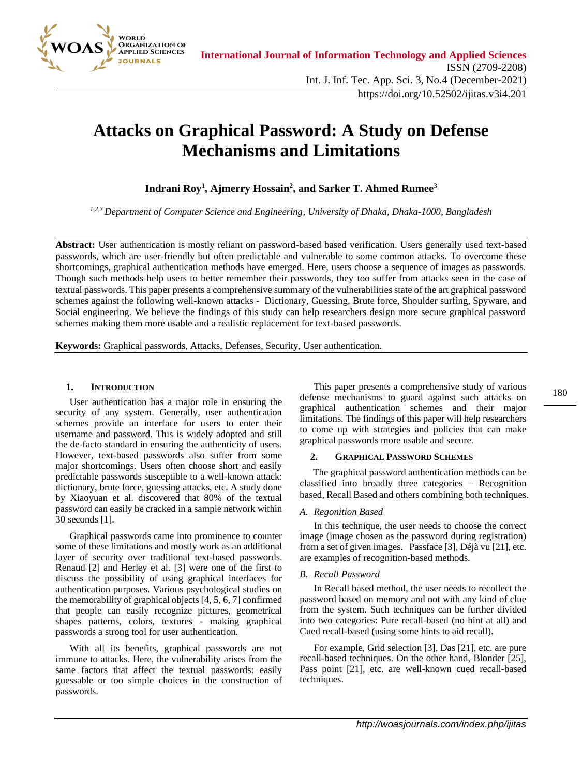

# **Attacks on Graphical Password: A Study on Defense Mechanisms and Limitations**

## **Indrani Roy<sup>1</sup> , Ajmerry Hossain<sup>2</sup> , and Sarker T. Ahmed Rumee**<sup>3</sup>

*1,2,3 Department of Computer Science and Engineering, University of Dhaka, Dhaka-1000, Bangladesh*

**Abstract:** User authentication is mostly reliant on password-based based verification. Users generally used text-based passwords, which are user-friendly but often predictable and vulnerable to some common attacks. To overcome these shortcomings, graphical authentication methods have emerged. Here, users choose a sequence of images as passwords. Though such methods help users to better remember their passwords, they too suffer from attacks seen in the case of textual passwords. This paper presents a comprehensive summary of the vulnerabilities state of the art graphical password schemes against the following well-known attacks - Dictionary, Guessing, Brute force, Shoulder surfing, Spyware, and Social engineering. We believe the findings of this study can help researchers design more secure graphical password schemes making them more usable and a realistic replacement for text-based passwords.

**Keywords:** Graphical passwords, Attacks, Defenses, Security, User authentication.

## **1. INTRODUCTION**

User authentication has a major role in ensuring the security of any system. Generally, user authentication schemes provide an interface for users to enter their username and password. This is widely adopted and still the de-facto standard in ensuring the authenticity of users. However, text-based passwords also suffer from some major shortcomings. Users often choose short and easily predictable passwords susceptible to a well-known attack: dictionary, brute force, guessing attacks, etc. A study done by Xiaoyuan et al. discovered that 80% of the textual password can easily be cracked in a sample network within 30 seconds [1].

Graphical passwords came into prominence to counter some of these limitations and mostly work as an additional layer of security over traditional text-based passwords. Renaud [2] and Herley et al. [3] were one of the first to discuss the possibility of using graphical interfaces for authentication purposes. Various psychological studies on the memorability of graphical objects [4, 5, 6, 7] confirmed that people can easily recognize pictures, geometrical shapes patterns, colors, textures - making graphical passwords a strong tool for user authentication.

With all its benefits, graphical passwords are not immune to attacks. Here, the vulnerability arises from the same factors that affect the textual passwords: easily guessable or too simple choices in the construction of passwords.

This paper presents a comprehensive study of various defense mechanisms to guard against such attacks on graphical authentication schemes and their major limitations. The findings of this paper will help researchers to come up with strategies and policies that can make graphical passwords more usable and secure.

#### **2. GRAPHICAL PASSWORD SCHEMES**

The graphical password authentication methods can be classified into broadly three categories – Recognition based, Recall Based and others combining both techniques.

#### *A. Regonition Based*

In this technique, the user needs to choose the correct image (image chosen as the password during registration) from a set of given images. Passface [3], Déjà vu [21], etc. are examples of recognition-based methods.

#### *B. Recall Password*

In Recall based method, the user needs to recollect the password based on memory and not with any kind of clue from the system. Such techniques can be further divided into two categories: Pure recall-based (no hint at all) and Cued recall-based (using some hints to aid recall).

For example, Grid selection [3], Das [21], etc. are pure recall-based techniques. On the other hand, Blonder [25], Pass point [21], etc. are well-known cued recall-based techniques.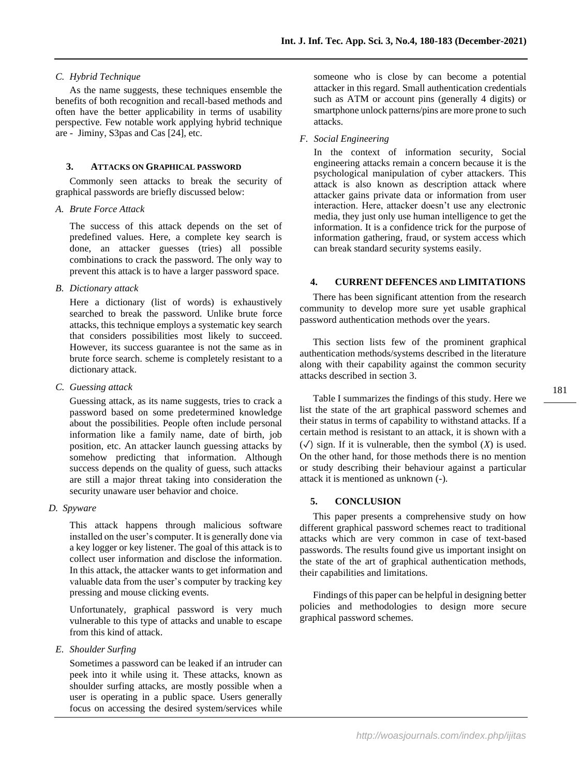## *C. Hybrid Technique*

As the name suggests, these techniques ensemble the benefits of both recognition and recall-based methods and often have the better applicability in terms of usability perspective. Few notable work applying hybrid technique are - Jiminy, S3pas and Cas [24], etc.

## **3. ATTACKS ON GRAPHICAL PASSWORD**

Commonly seen attacks to break the security of graphical passwords are briefly discussed below:

#### *A. Brute Force Attack*

The success of this attack depends on the set of predefined values. Here, a complete key search is done, an attacker guesses (tries) all possible combinations to crack the password. The only way to prevent this attack is to have a larger password space.

*B. Dictionary attack*

Here a dictionary (list of words) is exhaustively searched to break the password. Unlike brute force attacks, this technique employs a systematic key search that considers possibilities most likely to succeed. However, its success guarantee is not the same as in brute force search. scheme is completely resistant to a dictionary attack.

*C. Guessing attack*

Guessing attack, as its name suggests, tries to crack a password based on some predetermined knowledge about the possibilities. People often include personal information like a family name, date of birth, job position, etc. An attacker launch guessing attacks by somehow predicting that information. Although success depends on the quality of guess, such attacks are still a major threat taking into consideration the security unaware user behavior and choice.

*D. Spyware* 

This attack happens through malicious software installed on the user's computer. It is generally done via a key logger or key listener. The goal of this attack is to collect user information and disclose the information. In this attack, the attacker wants to get information and valuable data from the user's computer by tracking key pressing and mouse clicking events.

Unfortunately, graphical password is very much vulnerable to this type of attacks and unable to escape from this kind of attack.

## *E. Shoulder Surfing*

Sometimes a password can be leaked if an intruder can peek into it while using it. These attacks, known as shoulder surfing attacks, are mostly possible when a user is operating in a public space. Users generally focus on accessing the desired system/services while

someone who is close by can become a potential attacker in this regard. Small authentication credentials such as ATM or account pins (generally 4 digits) or smartphone unlock patterns/pins are more prone to such attacks.

### *F. Social Engineering*

In the context of information security, Social engineering attacks remain a concern because it is the psychological manipulation of cyber attackers. This attack is also known as description attack where attacker gains private data or information from user interaction. Here, attacker doesn't use any electronic media, they just only use human intelligence to get the information. It is a confidence trick for the purpose of information gathering, fraud, or system access which can break standard security systems easily.

## **4. CURRENT DEFENCES AND LIMITATIONS**

There has been significant attention from the research community to develop more sure yet usable graphical password authentication methods over the years.

This section lists few of the prominent graphical authentication methods/systems described in the literature along with their capability against the common security attacks described in section 3.

Table I summarizes the findings of this study. Here we list the state of the art graphical password schemes and their status in terms of capability to withstand attacks. If a certain method is resistant to an attack, it is shown with a  $(\checkmark)$  sign. If it is vulnerable, then the symbol  $(X)$  is used. On the other hand, for those methods there is no mention or study describing their behaviour against a particular attack it is mentioned as unknown (*-*).

## **5. CONCLUSION**

This paper presents a comprehensive study on how different graphical password schemes react to traditional attacks which are very common in case of text-based passwords. The results found give us important insight on the state of the art of graphical authentication methods, their capabilities and limitations.

Findings of this paper can be helpful in designing better policies and methodologies to design more secure graphical password schemes.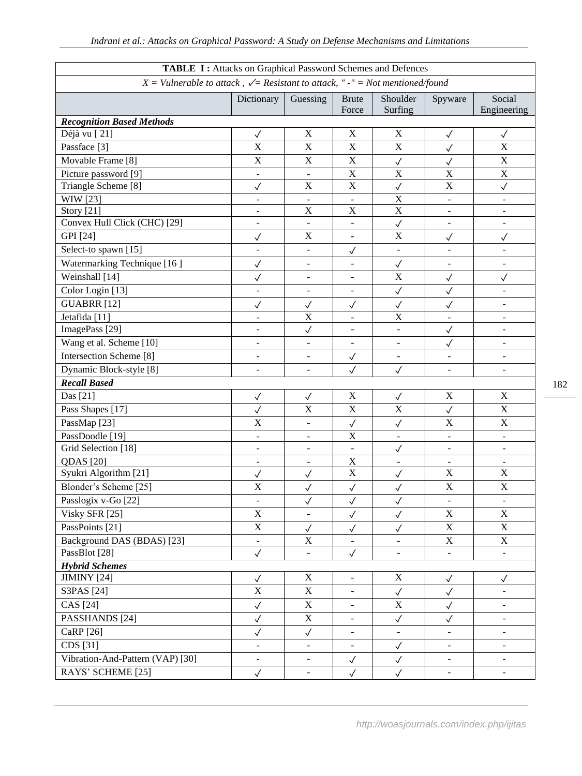| TABLE I: Attacks on Graphical Password Schemes and Defences                           |                              |                              |                           |                              |                          |                          |
|---------------------------------------------------------------------------------------|------------------------------|------------------------------|---------------------------|------------------------------|--------------------------|--------------------------|
| $X =$ Vulnerable to attack, $\sqrt{=}$ Resistant to attack, "-" = Not mentioned/found |                              |                              |                           |                              |                          |                          |
|                                                                                       | Dictionary                   | Guessing                     | <b>Brute</b><br>Force     | Shoulder<br>Surfing          | Spyware                  | Social<br>Engineering    |
| <b>Recognition Based Methods</b>                                                      |                              |                              |                           |                              |                          |                          |
| Déjà vu [21]                                                                          | $\checkmark$                 | $\mathbf X$                  | $\mathbf X$               | $\mathbf X$                  | $\checkmark$             | $\checkmark$             |
| Passface [3]                                                                          | $\overline{\mathbf{X}}$      | $\bar{X}$                    | $\boldsymbol{\mathrm{X}}$ | $\mathbf X$                  | $\checkmark$             | $\overline{\text{X}}$    |
| Movable Frame [8]                                                                     | $\overline{X}$               | $\mathbf X$                  | $\mathbf X$               | $\checkmark$                 | $\checkmark$             | $\overline{\text{X}}$    |
| Picture password [9]                                                                  |                              |                              | $\mathbf X$               | $\mathbf X$                  | X                        | $\mathbf X$              |
| Triangle Scheme [8]                                                                   | $\checkmark$                 | $\boldsymbol{\mathrm{X}}$    | $\mathbf X$               | $\checkmark$                 | $\mathbf X$              | $\checkmark$             |
| WIW [23]                                                                              | $\overline{\phantom{a}}$     | $\blacksquare$               | $\blacksquare$            | $\mathbf X$                  | $\overline{\phantom{a}}$ |                          |
| Story [21]                                                                            | $\overline{\phantom{a}}$     | X                            | $\boldsymbol{\mathrm{X}}$ | $\overline{\text{X}}$        | $\overline{\phantom{a}}$ |                          |
| Convex Hull Click (CHC) [29]                                                          | $\overline{a}$               |                              |                           | $\checkmark$                 | $\overline{a}$           |                          |
| GPI [24]                                                                              | $\checkmark$                 | $\boldsymbol{\mathrm{X}}$    | $\blacksquare$            | $\mathbf X$                  | $\checkmark$             | $\checkmark$             |
| Select-to spawn [15]                                                                  |                              | $\overline{a}$               | $\checkmark$              | $\frac{1}{2}$                | ÷,                       |                          |
| Watermarking Technique [16]                                                           | $\checkmark$                 | $\overline{a}$               |                           | $\checkmark$                 |                          |                          |
| Weinshall [14]                                                                        | $\checkmark$                 | $\qquad \qquad \blacksquare$ | $\blacksquare$            | $\mathbf X$                  | $\checkmark$             | $\checkmark$             |
| Color Login [13]                                                                      | $\overline{\phantom{a}}$     | $\overline{\phantom{a}}$     | $\blacksquare$            | $\checkmark$                 | $\checkmark$             |                          |
| <b>GUABRR</b> [12]                                                                    | $\checkmark$                 | $\checkmark$                 | $\checkmark$              | $\checkmark$                 | $\checkmark$             |                          |
| Jetafida <sup>[11]</sup>                                                              | $\overline{\phantom{a}}$     | $\overline{\text{X}}$        | $\overline{\phantom{a}}$  | $\overline{\text{X}}$        | $\blacksquare$           | ÷,                       |
| ImagePass [29]                                                                        | $\blacksquare$               | $\checkmark$                 | $\overline{\phantom{a}}$  | $\overline{a}$               | $\checkmark$             |                          |
| Wang et al. Scheme [10]                                                               | $\blacksquare$               | ÷,                           | $\blacksquare$            | $\blacksquare$               | $\checkmark$             | ÷,                       |
| Intersection Scheme <sup>[8]</sup>                                                    | $\qquad \qquad \blacksquare$ | $\blacksquare$               | $\checkmark$              | $\blacksquare$               | $\overline{\phantom{a}}$ |                          |
| Dynamic Block-style [8]                                                               | ÷,                           | $\blacksquare$               | $\checkmark$              | $\checkmark$                 | $\overline{\phantom{0}}$ |                          |
| <b>Recall Based</b>                                                                   |                              |                              |                           |                              |                          |                          |
| Das [21]                                                                              | $\checkmark$                 | $\checkmark$                 | $\mathbf X$               | $\checkmark$                 | $\mathbf X$              | $\mathbf X$              |
| Pass Shapes [17]                                                                      | $\checkmark$                 | X                            | $\mathbf X$               | $\mathbf X$                  | $\checkmark$             | $\mathbf X$              |
| PassMap <sup>[23]</sup>                                                               | $\overline{X}$               | ÷,                           | $\checkmark$              | $\checkmark$                 | $\overline{X}$           | $\mathbf X$              |
| PassDoodle [19]                                                                       | $\overline{\phantom{a}}$     | $\overline{\phantom{a}}$     | $\mathbf X$               | $\overline{\phantom{a}}$     | $\overline{\phantom{a}}$ | $\blacksquare$           |
| Grid Selection [18]                                                                   | $\overline{\phantom{a}}$     | $\blacksquare$               | $\blacksquare$            | $\checkmark$                 | $\overline{\phantom{a}}$ |                          |
| <b>QDAS</b> [20]                                                                      |                              | $\overline{\phantom{a}}$     | $\boldsymbol{\mathrm{X}}$ |                              |                          |                          |
| Syukri Algorithm [21]                                                                 | $\checkmark$                 | $\checkmark$                 | $\boldsymbol{\mathrm{X}}$ | $\checkmark$                 | $\mathbf X$              | $\mathbf X$              |
| Blonder's Scheme [25]                                                                 | $\overline{\text{X}}$        | $\checkmark$                 | $\checkmark$              | $\checkmark$                 | $\mathbf X$              | $\mathbf X$              |
| Passlogix v-Go [22]                                                                   | $\overline{\phantom{a}}$     | $\checkmark$                 | $\checkmark$              | $\checkmark$                 | $\overline{\phantom{a}}$ | $\blacksquare$           |
| Visky SFR [25]                                                                        | $\mathbf X$                  | $\overline{\phantom{a}}$     | $\checkmark$              | $\checkmark$                 | $\mathbf X$              | $\mathbf X$              |
| PassPoints [21]                                                                       | $\mathbf X$                  | $\checkmark$                 | $\checkmark$              | $\checkmark$                 | $\mathbf X$              | $\mathbf X$              |
| Background DAS (BDAS) [23]                                                            | $\blacksquare$               | X                            |                           | $\overline{\phantom{0}}$     | $\mathbf X$              | $\mathbf X$              |
| PassBlot [28]                                                                         | $\checkmark$                 | $\blacksquare$               | $\checkmark$              | $\qquad \qquad \blacksquare$ | $\overline{\phantom{a}}$ |                          |
| <b>Hybrid Schemes</b>                                                                 |                              |                              |                           |                              |                          |                          |
| JIMINY [24]                                                                           | $\checkmark$                 | X                            | $\overline{\phantom{a}}$  | $\mathbf X$                  | $\checkmark$             | $\checkmark$             |
| S3PAS [24]                                                                            | $\mathbf X$                  | $\mathbf X$                  | $\overline{a}$            | $\checkmark$                 | $\checkmark$             |                          |
| CAS [24]                                                                              | $\checkmark$                 | $\mathbf X$                  | $\overline{\phantom{a}}$  | $\overline{\mathbf{X}}$      | $\checkmark$             | $\overline{\phantom{a}}$ |
| PASSHANDS [24]                                                                        | $\checkmark$                 | $\boldsymbol{\mathrm{X}}$    | $\overline{\phantom{a}}$  | $\checkmark$                 | $\checkmark$             |                          |
| CaRP [26]                                                                             | $\checkmark$                 | $\checkmark$                 | $\blacksquare$            | $\overline{a}$               | $\blacksquare$           |                          |
| CDS [31]                                                                              | $\qquad \qquad \blacksquare$ | $\overline{\phantom{a}}$     | $\blacksquare$            | $\checkmark$                 | $\overline{\phantom{a}}$ | $\overline{\phantom{0}}$ |
| Vibration-And-Pattern (VAP) [30]                                                      | $\overline{\phantom{a}}$     | $\blacksquare$               | $\checkmark$              | $\checkmark$                 | $\blacksquare$           | $\overline{\phantom{a}}$ |
| RAYS' SCHEME [25]                                                                     | $\checkmark$                 | $\overline{\phantom{a}}$     | $\checkmark$              | $\checkmark$                 | $\blacksquare$           |                          |